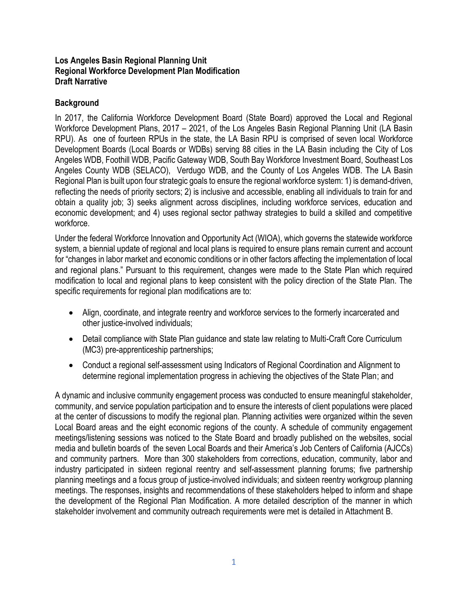### **Los Angeles Basin Regional Planning Unit Regional Workforce Development Plan Modification Draft Narrative**

## **Background**

In 2017, the California Workforce Development Board (State Board) approved the Local and Regional Workforce Development Plans, 2017 – 2021, of the Los Angeles Basin Regional Planning Unit (LA Basin RPU). As one of fourteen RPUs in the state, the LA Basin RPU is comprised of seven local Workforce Development Boards (Local Boards or WDBs) serving 88 cities in the LA Basin including the City of Los Angeles WDB, Foothill WDB, Pacific Gateway WDB, South Bay Workforce Investment Board, Southeast Los Angeles County WDB (SELACO), Verdugo WDB, and the County of Los Angeles WDB. The LA Basin Regional Plan is built upon four strategic goals to ensure the regional workforce system: 1) is demand-driven, reflecting the needs of priority sectors; 2) is inclusive and accessible, enabling all individuals to train for and obtain a quality job; 3) seeks alignment across disciplines, including workforce services, education and economic development; and 4) uses regional sector pathway strategies to build a skilled and competitive workforce.

Under the federal Workforce Innovation and Opportunity Act (WIOA), which governs the statewide workforce system, a biennial update of regional and local plans is required to ensure plans remain current and account for "changes in labor market and economic conditions or in other factors affecting the implementation of local and regional plans." Pursuant to this requirement, changes were made to the State Plan which required modification to local and regional plans to keep consistent with the policy direction of the State Plan. The specific requirements for regional plan modifications are to:

- Align, coordinate, and integrate reentry and workforce services to the formerly incarcerated and other justice-involved individuals;
- Detail compliance with State Plan guidance and state law relating to Multi-Craft Core Curriculum (MC3) pre-apprenticeship partnerships;
- Conduct a regional self-assessment using Indicators of Regional Coordination and Alignment to determine regional implementation progress in achieving the objectives of the State Plan; and

A dynamic and inclusive community engagement process was conducted to ensure meaningful stakeholder, community, and service population participation and to ensure the interests of client populations were placed at the center of discussions to modify the regional plan. Planning activities were organized within the seven Local Board areas and the eight economic regions of the county. A schedule of community engagement meetings/listening sessions was noticed to the State Board and broadly published on the websites, social media and bulletin boards of the seven Local Boards and their America's Job Centers of California (AJCCs) and community partners. More than 300 stakeholders from corrections, education, community, labor and industry participated in sixteen regional reentry and self-assessment planning forums; five partnership planning meetings and a focus group of justice-involved individuals; and sixteen reentry workgroup planning meetings. The responses, insights and recommendations of these stakeholders helped to inform and shape the development of the Regional Plan Modification. A more detailed description of the manner in which stakeholder involvement and community outreach requirements were met is detailed in Attachment B.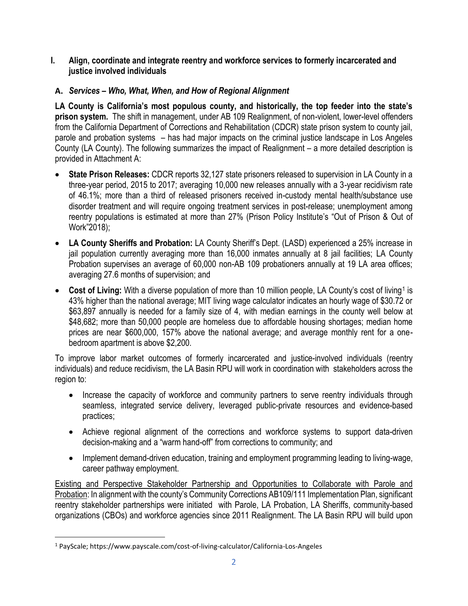- **I. Align, coordinate and integrate reentry and workforce services to formerly incarcerated and justice involved individuals**
- **A.** *Services – Who, What, When, and How of Regional Alignment*

**LA County is California's most populous county, and historically, the top feeder into the state's prison system.** The shift in management, under AB 109 Realignment, of non-violent, lower-level offenders from the California Department of Corrections and Rehabilitation (CDCR) state prison system to county jail, parole and probation systems – has had major impacts on the criminal justice landscape in Los Angeles County (LA County). The following summarizes the impact of Realignment – a more detailed description is provided in Attachment A:

- **State Prison Releases:** CDCR reports 32,127 state prisoners released to supervision in LA County in a three-year period, 2015 to 2017; averaging 10,000 new releases annually with a 3-year recidivism rate of 46.1%; more than a third of released prisoners received in-custody mental health/substance use disorder treatment and will require ongoing treatment services in post-release; unemployment among reentry populations is estimated at more than 27% (Prison Policy Institute's "Out of Prison & Out of Work"2018);
- **LA County Sheriffs and Probation:** LA County Sheriff's Dept. (LASD) experienced a 25% increase in jail population currently averaging more than 16,000 inmates annually at 8 jail facilities; LA County Probation supervises an average of 60,000 non-AB 109 probationers annually at 19 LA area offices; averaging 27.6 months of supervision; and
- Cost of Living: With a diverse population of more than 10 million people, LA County's cost of living<sup>1</sup> is 43% higher than the national average; MIT living wage calculator indicates an hourly wage of \$30.72 or \$63,897 annually is needed for a family size of 4, with median earnings in the county well below at \$48,682; more than 50,000 people are homeless due to affordable housing shortages; median home prices are near \$600,000, 157% above the national average; and average monthly rent for a onebedroom apartment is above \$2,200.

To improve labor market outcomes of formerly incarcerated and justice-involved individuals (reentry individuals) and reduce recidivism, the LA Basin RPU will work in coordination with stakeholders across the region to:

- Increase the capacity of workforce and community partners to serve reentry individuals through seamless, integrated service delivery, leveraged public-private resources and evidence-based practices;
- Achieve regional alignment of the corrections and workforce systems to support data-driven decision-making and a "warm hand-off" from corrections to community; and
- Implement demand-driven education, training and employment programming leading to living-wage, career pathway employment.

Existing and Perspective Stakeholder Partnership and Opportunities to Collaborate with Parole and Probation: In alignment with the county's Community Corrections AB109/111 Implementation Plan, significant reentry stakeholder partnerships were initiated with Parole, LA Probation, LA Sheriffs, community-based organizations (CBOs) and workforce agencies since 2011 Realignment. The LA Basin RPU will build upon

 $\overline{a}$ 

<sup>1</sup> PayScale; https://www.payscale.com/cost-of-living-calculator/California-Los-Angeles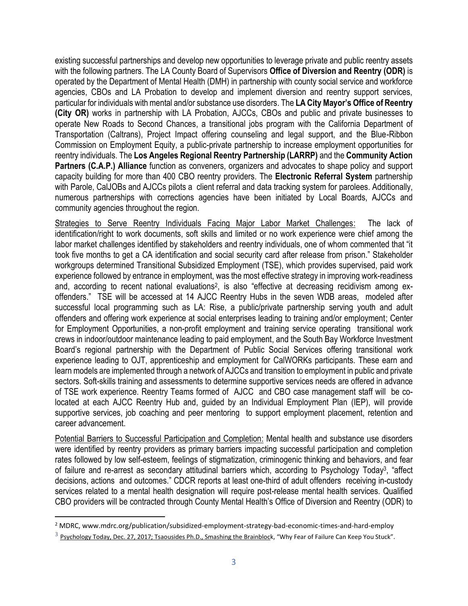existing successful partnerships and develop new opportunities to leverage private and public reentry assets with the following partners. The LA County Board of Supervisors **Office of Diversion and Reentry (ODR)** is operated by the Department of Mental Health (DMH) in partnership with county social service and workforce agencies, CBOs and LA Probation to develop and implement diversion and reentry support services, particular for individuals with mental and/or substance use disorders. The **LA City Mayor's Office of Reentry (City OR)** works in partnership with LA Probation, AJCCs, CBOs and public and private businesses to operate New Roads to Second Chances, a transitional jobs program with the California Department of Transportation (Caltrans), Project Impact offering counseling and legal support, and the Blue-Ribbon Commission on Employment Equity, a public-private partnership to increase employment opportunities for reentry individuals. The **Los Angeles Regional Reentry Partnership (LARRP)** and the **Community Action Partners (C.A.P.) Alliance** function as conveners, organizers and advocates to shape policy and support capacity building for more than 400 CBO reentry providers. The **Electronic Referral System** partnership with Parole, CalJOBs and AJCCs pilots a client referral and data tracking system for parolees. Additionally, numerous partnerships with corrections agencies have been initiated by Local Boards, AJCCs and community agencies throughout the region.

Strategies to Serve Reentry Individuals Facing Major Labor Market Challenges: The lack of identification/right to work documents, soft skills and limited or no work experience were chief among the labor market challenges identified by stakeholders and reentry individuals, one of whom commented that "it took five months to get a CA identification and social security card after release from prison." Stakeholder workgroups determined Transitional Subsidized Employment (TSE), which provides supervised, paid work experience followed by entrance in employment, was the most effective strategy in improving work-readiness and, according to recent national evaluations<sup>2</sup>, is also "effective at decreasing recidivism among exoffenders." TSE will be accessed at 14 AJCC Reentry Hubs in the seven WDB areas, modeled after successful local programming such as LA: Rise, a public/private partnership serving youth and adult offenders and offering work experience at social enterprises leading to training and/or employment; Center for Employment Opportunities, a non-profit employment and training service operating transitional work crews in indoor/outdoor maintenance leading to paid employment, and the South Bay Workforce Investment Board's regional partnership with the Department of Public Social Services offering transitional work experience leading to OJT, apprenticeship and employment for CalWORKs participants. These earn and learn models are implemented through a network of AJCCs and transition to employment in public and private sectors. Soft-skills training and assessments to determine supportive services needs are offered in advance of TSE work experience. Reentry Teams formed of AJCC and CBO case management staff will be colocated at each AJCC Reentry Hub and, guided by an Individual Employment Plan (IEP), will provide supportive services, job coaching and peer mentoring to support employment placement, retention and career advancement.

Potential Barriers to Successful Participation and Completion: Mental health and substance use disorders were identified by reentry providers as primary barriers impacting successful participation and completion rates followed by low self-esteem, feelings of stigmatization, criminogenic thinking and behaviors, and fear of failure and re-arrest as secondary attitudinal barriers which, according to Psychology Today<sup>3</sup>, "affect decisions, actions and outcomes." CDCR reports at least one-third of adult offenders receiving in-custody services related to a mental health designation will require post-release mental health services. Qualified CBO providers will be contracted through County Mental Health's Office of Diversion and Reentry (ODR) to

 $\overline{a}$ 

<sup>&</sup>lt;sup>2</sup> MDRC, www.mdrc.org/publication/subsidized-employment-strategy-bad-economic-times-and-hard-employ

<sup>&</sup>lt;sup>3</sup> [Psychology Today, Dec. 27, 2017; Tsaousides Ph.D.,](https://www.psychologytoday.com/us/experts/theo-tsaousides-phd) [Smashing the Brainbloc](https://www.psychologytoday.com/us/blog/smashing-the-brainblocks)k, "Why Fear of Failure Can Keep You Stuck".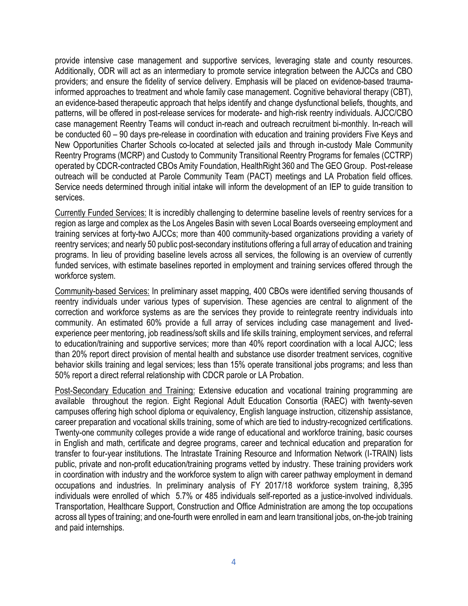provide intensive case management and supportive services, leveraging state and county resources. Additionally, ODR will act as an intermediary to promote service integration between the AJCCs and CBO providers; and ensure the fidelity of service delivery. Emphasis will be placed on evidence-based traumainformed approaches to treatment and whole family case management. Cognitive behavioral therapy (CBT), an evidence-based therapeutic approach that helps identify and change dysfunctional beliefs, thoughts, and patterns, will be offered in post-release services for moderate- and high-risk reentry individuals. AJCC/CBO case management Reentry Teams will conduct in-reach and outreach recruitment bi-monthly. In-reach will be conducted 60 – 90 days pre-release in coordination with education and training providers Five Keys and New Opportunities Charter Schools co-located at selected jails and through in-custody Male Community Reentry Programs (MCRP) and Custody to Community Transitional Reentry Programs for females (CCTRP) operated by CDCR-contracted CBOs Amity Foundation, HealthRight 360 and The GEO Group. Post-release outreach will be conducted at Parole Community Team (PACT) meetings and LA Probation field offices. Service needs determined through initial intake will inform the development of an IEP to guide transition to services.

Currently Funded Services: It is incredibly challenging to determine baseline levels of reentry services for a region as large and complex as the Los Angeles Basin with seven Local Boards overseeing employment and training services at forty-two AJCCs; more than 400 community-based organizations providing a variety of reentry services; and nearly 50 public post-secondary institutions offering a full array of education and training programs. In lieu of providing baseline levels across all services, the following is an overview of currently funded services, with estimate baselines reported in employment and training services offered through the workforce system.

Community-based Services: In preliminary asset mapping, 400 CBOs were identified serving thousands of reentry individuals under various types of supervision. These agencies are central to alignment of the correction and workforce systems as are the services they provide to reintegrate reentry individuals into community. An estimated 60% provide a full array of services including case management and livedexperience peer mentoring, job readiness/soft skills and life skills training, employment services, and referral to education/training and supportive services; more than 40% report coordination with a local AJCC; less than 20% report direct provision of mental health and substance use disorder treatment services, cognitive behavior skills training and legal services; less than 15% operate transitional jobs programs; and less than 50% report a direct referral relationship with CDCR parole or LA Probation.

Post-Secondary Education and Training: Extensive education and vocational training programming are available throughout the region. Eight Regional Adult Education Consortia (RAEC) with twenty-seven campuses offering high school diploma or equivalency, English language instruction, citizenship assistance, career preparation and vocational skills training, some of which are tied to industry-recognized certifications. Twenty-one community colleges provide a wide range of educational and workforce training, basic courses in English and math, certificate and degree programs, career and technical education and preparation for transfer to four-year institutions. The Intrastate Training Resource and Information Network (I-TRAIN) lists public, private and non-profit education/training programs vetted by industry. These training providers work in coordination with industry and the workforce system to align with career pathway employment in demand occupations and industries. In preliminary analysis of FY 2017/18 workforce system training, 8,395 individuals were enrolled of which 5.7% or 485 individuals self-reported as a justice-involved individuals. Transportation, Healthcare Support, Construction and Office Administration are among the top occupations across all types of training; and one-fourth were enrolled in earn and learn transitional jobs, on-the-job training and paid internships.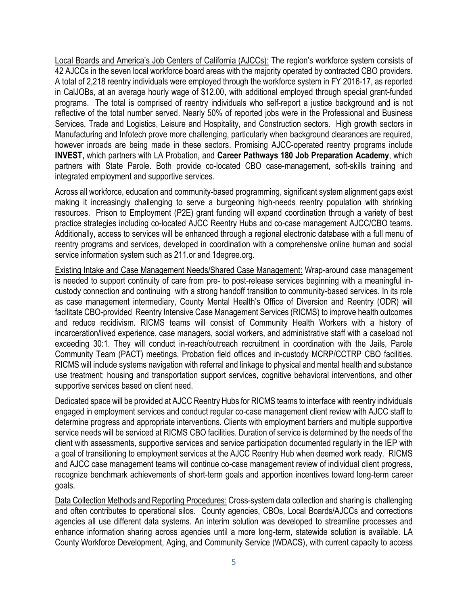Local Boards and America's Job Centers of California (AJCCs): The region's workforce system consists of 42 AJCCs in the seven local workforce board areas with the majority operated by contracted CBO providers. A total of 2,218 reentry individuals were employed through the workforce system in FY 2016-17, as reported in CalJOBs, at an average hourly wage of \$12.00, with additional employed through special grant-funded programs. The total is comprised of reentry individuals who self-report a justice background and is not reflective of the total number served. Nearly 50% of reported jobs were in the Professional and Business Services, Trade and Logistics, Leisure and Hospitality, and Construction sectors. High growth sectors in Manufacturing and Infotech prove more challenging, particularly when background clearances are required, however inroads are being made in these sectors. Promising AJCC-operated reentry programs include **INVEST,** which partners with LA Probation, and **Career Pathways 180 Job Preparation Academy**, which partners with State Parole. Both provide co-located CBO case-management, soft-skills training and integrated employment and supportive services.

Across all workforce, education and community-based programming, significant system alignment gaps exist making it increasingly challenging to serve a burgeoning high-needs reentry population with shrinking resources. Prison to Employment (P2E) grant funding will expand coordination through a variety of best practice strategies including co-located AJCC Reentry Hubs and co-case management AJCC/CBO teams. Additionally, access to services will be enhanced through a regional electronic database with a full menu of reentry programs and services, developed in coordination with a comprehensive online human and social service information system such as 211.or and 1degree.org.

Existing Intake and Case Management Needs/Shared Case Management: Wrap-around case management is needed to support continuity of care from pre- to post-release services beginning with a meaningful incustody connection and continuing with a strong handoff transition to community-based services. In its role as case management intermediary, County Mental Health's Office of Diversion and Reentry (ODR) will facilitate CBO-provided Reentry Intensive Case Management Services (RICMS) to improve health outcomes and reduce recidivism. RICMS teams will consist of Community Health Workers with a history of incarceration/lived experience, case managers, social workers, and administrative staff with a caseload not exceeding 30:1. They will conduct in-reach/outreach recruitment in coordination with the Jails, Parole Community Team (PACT) meetings, Probation field offices and in-custody MCRP/CCTRP CBO facilities. RICMS will include systems navigation with referral and linkage to physical and mental health and substance use treatment; housing and transportation support services, cognitive behavioral interventions, and other supportive services based on client need.

Dedicated space will be provided at AJCC Reentry Hubs for RICMS teams to interface with reentry individuals engaged in employment services and conduct regular co-case management client review with AJCC staff to determine progress and appropriate interventions. Clients with employment barriers and multiple supportive service needs will be serviced at RICMS CBO facilities. Duration of service is determined by the needs of the client with assessments, supportive services and service participation documented regularly in the IEP with a goal of transitioning to employment services at the AJCC Reentry Hub when deemed work ready. RICMS and AJCC case management teams will continue co-case management review of individual client progress, recognize benchmark achievements of short-term goals and apportion incentives toward long-term career goals.

Data Collection Methods and Reporting Procedures: Cross-system data collection and sharing is challenging and often contributes to operational silos. County agencies, CBOs, Local Boards/AJCCs and corrections agencies all use different data systems. An interim solution was developed to streamline processes and enhance information sharing across agencies until a more long-term, statewide solution is available. LA County Workforce Development, Aging, and Community Service (WDACS), with current capacity to access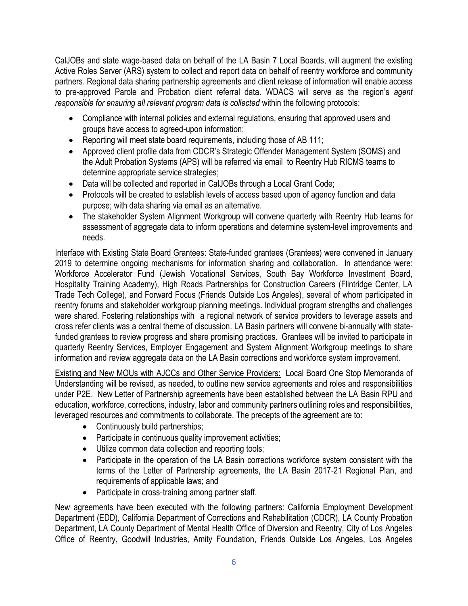CalJOBs and state wage-based data on behalf of the LA Basin 7 Local Boards, will augment the existing Active Roles Server (ARS) system to collect and report data on behalf of reentry workforce and community partners. Regional data sharing partnership agreements and client release of information will enable access to pre-approved Parole and Probation client referral data. WDACS will serve as the region's *agent responsible for ensuring all relevant program data is collected* within the following protocols:

- Compliance with internal policies and external regulations, ensuring that approved users and groups have access to agreed-upon information;
- Reporting will meet state board requirements, including those of AB 111;
- Approved client profile data from CDCR's Strategic Offender Management System (SOMS) and the Adult Probation Systems (APS) will be referred via email to Reentry Hub RICMS teams to determine appropriate service strategies;
- Data will be collected and reported in CalJOBs through a Local Grant Code;
- Protocols will be created to establish levels of access based upon of agency function and data purpose; with data sharing via email as an alternative.
- The stakeholder System Alignment Workgroup will convene quarterly with Reentry Hub teams for assessment of aggregate data to inform operations and determine system-level improvements and needs.

Interface with Existing State Board Grantees: State-funded grantees (Grantees) were convened in January 2019 to determine ongoing mechanisms for information sharing and collaboration. In attendance were: Workforce Accelerator Fund (Jewish Vocational Services, South Bay Workforce Investment Board, Hospitality Training Academy), High Roads Partnerships for Construction Careers (Flintridge Center, LA Trade Tech College), and Forward Focus (Friends Outside Los Angeles), several of whom participated in reentry forums and stakeholder workgroup planning meetings. Individual program strengths and challenges were shared. Fostering relationships with a regional network of service providers to leverage assets and cross refer clients was a central theme of discussion. LA Basin partners will convene bi-annually with statefunded grantees to review progress and share promising practices. Grantees will be invited to participate in quarterly Reentry Services, Employer Engagement and System Alignment Workgroup meetings to share information and review aggregate data on the LA Basin corrections and workforce system improvement.

Existing and New MOUs with AJCCs and Other Service Providers: Local Board One Stop Memoranda of Understanding will be revised, as needed, to outline new service agreements and roles and responsibilities under P2E. New Letter of Partnership agreements have been established between the LA Basin RPU and education, workforce, corrections, industry, labor and community partners outlining roles and responsibilities, leveraged resources and commitments to collaborate. The precepts of the agreement are to:

- Continuously build partnerships;
- Participate in continuous quality improvement activities;
- Utilize common data collection and reporting tools;
- Participate in the operation of the LA Basin corrections workforce system consistent with the terms of the Letter of Partnership agreements, the LA Basin 2017-21 Regional Plan, and requirements of applicable laws; and
- Participate in cross-training among partner staff.

New agreements have been executed with the following partners: California Employment Development Department (EDD), California Department of Corrections and Rehabilitation (CDCR), LA County Probation Department, LA County Department of Mental Health Office of Diversion and Reentry, City of Los Angeles Office of Reentry, Goodwill Industries, Amity Foundation, Friends Outside Los Angeles, Los Angeles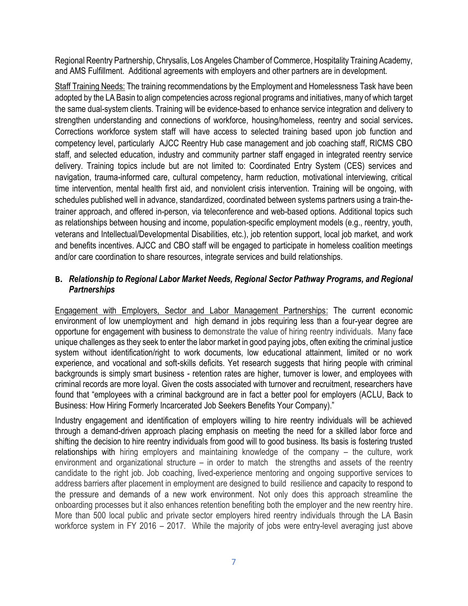Regional Reentry Partnership, Chrysalis, Los Angeles Chamber of Commerce, Hospitality Training Academy, and AMS Fulfillment. Additional agreements with employers and other partners are in development.

Staff Training Needs: The training recommendations by the Employment and Homelessness Task have been adopted by the LA Basin to align competencies across regional programs and initiatives, many of which target the same dual-system clients. Training will be evidence-based to enhance service integration and delivery to strengthen understanding and connections of workforce, housing/homeless, reentry and social services**.** Corrections workforce system staff will have access to selected training based upon job function and competency level, particularly AJCC Reentry Hub case management and job coaching staff, RICMS CBO staff, and selected education, industry and community partner staff engaged in integrated reentry service delivery. Training topics include but are not limited to: Coordinated Entry System (CES) services and navigation, trauma-informed care, cultural competency, harm reduction, motivational interviewing, critical time intervention, mental health first aid, and nonviolent crisis intervention. Training will be ongoing, with schedules published well in advance, standardized, coordinated between systems partners using a train-thetrainer approach, and offered in-person, via teleconference and web-based options. Additional topics such as relationships between housing and income, population-specific employment models (e.g., reentry, youth, veterans and Intellectual/Developmental Disabilities, etc.), job retention support, local job market, and work and benefits incentives. AJCC and CBO staff will be engaged to participate in homeless coalition meetings and/or care coordination to share resources, integrate services and build relationships.

## **B.** *Relationship to Regional Labor Market Needs, Regional Sector Pathway Programs, and Regional Partnerships*

Engagement with Employers, Sector and Labor Management Partnerships: The current economic environment of low unemployment and high demand in jobs requiring less than a four-year degree are opportune for engagement with business to demonstrate the value of hiring reentry individuals. Many face unique challenges as they seek to enter the labor market in good paying jobs, often exiting the criminal justice system without identification/right to work documents, low educational attainment, limited or no work experience, and vocational and soft-skills deficits. Yet research suggests that hiring people with criminal backgrounds is simply smart business - retention rates are higher, turnover is lower, and employees with criminal records are more loyal. Given the costs associated with turnover and recruitment, researchers have found that "employees with a criminal background are in fact a better pool for employers (ACLU, Back to Business: How Hiring Formerly Incarcerated Job Seekers Benefits Your Company)."

Industry engagement and identification of employers willing to hire reentry individuals will be achieved through a demand-driven approach placing emphasis on meeting the need for a skilled labor force and shifting the decision to hire reentry individuals from good will to good business. Its basis is fostering trusted relationships with hiring employers and maintaining knowledge of the company – the culture, work environment and organizational structure – in order to match the strengths and assets of the reentry candidate to the right job. Job coaching, lived-experience mentoring and ongoing supportive services to address barriers after placement in employment are designed to build resilience and capacity to respond to the pressure and demands of a new work environment. Not only does this approach streamline the onboarding processes but it also enhances retention benefiting both the employer and the new reentry hire. More than 500 local public and private sector employers hired reentry individuals through the LA Basin workforce system in FY 2016 – 2017. While the majority of jobs were entry-level averaging just above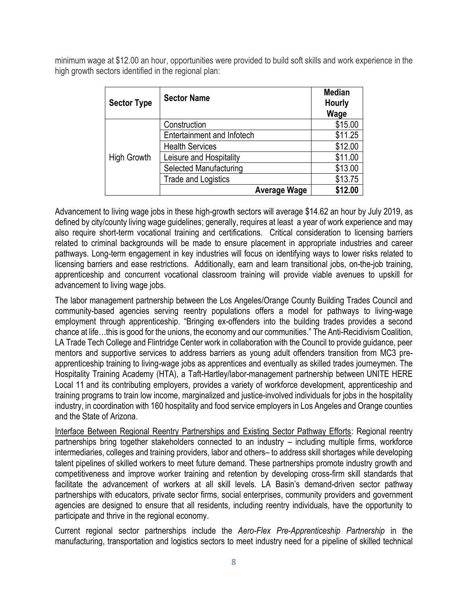minimum wage at \$12.00 an hour, opportunities were provided to build soft skills and work experience in the high growth sectors identified in the regional plan:

| <b>Sector Type</b> | <b>Sector Name</b>                | <b>Median</b><br><b>Hourly</b><br>Wage |
|--------------------|-----------------------------------|----------------------------------------|
|                    | Construction                      | \$15.00                                |
|                    | <b>Entertainment and Infotech</b> | \$11.25                                |
|                    | <b>Health Services</b>            | \$12.00                                |
| <b>High Growth</b> | Leisure and Hospitality           | \$11.00                                |
|                    | Selected Manufacturing            | \$13.00                                |
|                    | <b>Trade and Logistics</b>        | \$13.75                                |
|                    | <b>Average Wage</b>               | \$12.00                                |

Advancement to living wage jobs in these high-growth sectors will average \$14.62 an hour by July 2019, as defined by city/county living wage guidelines; generally, requires at least a year of work experience and may also require short-term vocational training and certifications. Critical consideration to licensing barriers related to criminal backgrounds will be made to ensure placement in appropriate industries and career pathways. Long-term engagement in key industries will focus on identifying ways to lower risks related to licensing barriers and ease restrictions. Additionally, earn and learn transitional jobs, on-the-job training, apprenticeship and concurrent vocational classroom training will provide viable avenues to upskill for advancement to living wage jobs.

The labor management partnership between the Los Angeles/Orange County Building Trades Council and community-based agencies serving reentry populations offers a model for pathways to living-wage employment through apprenticeship. "Bringing ex-offenders into the building trades provides a second chance at life…this is good for the unions, the economy and our communities." The Anti-Recidivism Coalition, LA Trade Tech College and Flintridge Center work in collaboration with the Council to provide guidance, peer mentors and supportive services to address barriers as young adult offenders transition from MC3 preapprenticeship training to living-wage jobs as apprentices and eventually as skilled trades journeymen. The Hospitality Training Academy (HTA), a Taft-Hartley/labor-management partnership between [UNITE](http://www.unitehere11.org/) HERE [Local](http://www.unitehere11.org/) 11 and its contributing employers, provides a variety of workforce development, apprenticeship and training programs to train low income, marginalized and justice-involved individuals for jobs in the hospitality industry, in coordination with 160 hospitality and food service employers in Los Angeles and Orange counties and the State of Arizona.

Interface Between Regional Reentry Partnerships and Existing Sector Pathway Efforts: Regional reentry partnerships bring together stakeholders connected to an industry – including multiple firms, workforce intermediaries, colleges and training providers, labor and others– to address skill shortages while developing talent pipelines of skilled workers to meet future demand. These partnerships promote industry growth and competitiveness and improve worker training and retention by developing cross-firm skill standards that facilitate the advancement of workers at all skill levels. LA Basin's demand-driven sector pathway partnerships with educators, private sector firms, social enterprises, community providers and government agencies are designed to ensure that all residents, including reentry individuals, have the opportunity to participate and thrive in the regional economy.

Current regional sector partnerships include the *Aero-Flex Pre-Apprenticeship Partnership* in the manufacturing, transportation and logistics sectors to meet industry need for a pipeline of skilled technical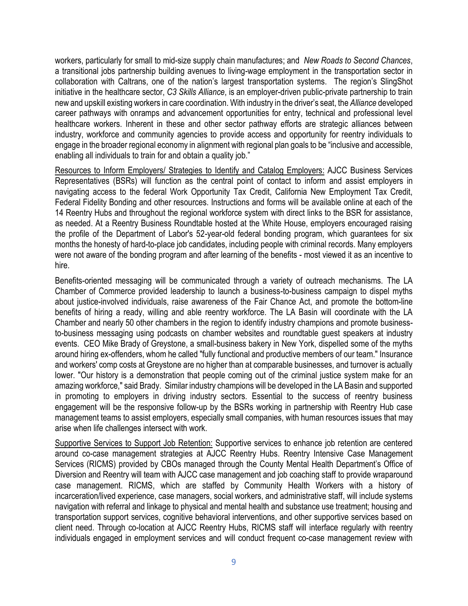workers, particularly for small to mid-size supply chain manufactures; and *New Roads to Second Chances*, a transitional jobs partnership building avenues to living-wage employment in the transportation sector in collaboration with Caltrans, one of the nation's largest transportation systems. The region's SlingShot initiative in the healthcare sector, *C3 Skills Alliance*, is an employer-driven public-private partnership to train new and upskill existing workers in care coordination. With industry in the driver's seat, the *Alliance* developed career pathways with onramps and advancement opportunities for entry, technical and professional level healthcare workers. Inherent in these and other sector pathway efforts are strategic alliances between industry, workforce and community agencies to provide access and opportunity for reentry individuals to engage in the broader regional economy in alignment with regional plan goals to be "inclusive and accessible, enabling all individuals to train for and obtain a quality job."

Resources to Inform Employers/ Strategies to Identify and Catalog Employers: AJCC Business Services Representatives (BSRs) will function as the central point of contact to inform and assist employers in navigating access to the federal Work Opportunity Tax Credit, California New Employment Tax Credit, Federal Fidelity Bonding and other resources. Instructions and forms will be available online at each of the 14 Reentry Hubs and throughout the regional workforce system with direct links to the BSR for assistance, as needed. At a Reentry Business Roundtable hosted at the White House, employers encouraged raising the profile of the Department of Labor's 52-year-old federal bonding program, which guarantees for six months the honesty of hard-to-place job candidates, including people with criminal records. Many employers were not aware of the bonding program and after learning of the benefits - most viewed it as an incentive to hire.

Benefits-oriented messaging will be communicated through a variety of outreach mechanisms. The LA Chamber of Commerce provided leadership to launch a business-to-business campaign to dispel myths about justice-involved individuals, raise awareness of the Fair Chance Act, and promote the bottom-line benefits of hiring a ready, willing and able reentry workforce. The LA Basin will coordinate with the LA Chamber and nearly 50 other chambers in the region to identify industry champions and promote businessto-business messaging using podcasts on chamber websites and roundtable guest speakers at industry events. CEO Mike Brady of Greystone, a small-business bakery in New York, dispelled some of the myths around hiring ex-offenders, whom he called "fully functional and productive members of our team." Insurance and workers' comp costs at Greystone are no higher than at comparable businesses, and turnover is actually lower. "Our history is a demonstration that people coming out of the criminal justice system make for an amazing workforce," said Brady. Similar industry champions will be developed in the LA Basin and supported in promoting to employers in driving industry sectors. Essential to the success of reentry business engagement will be the responsive follow-up by the BSRs working in partnership with Reentry Hub case management teams to assist employers, especially small companies, with human resources issues that may arise when life challenges intersect with work.

Supportive Services to Support Job Retention: Supportive services to enhance job retention are centered around co-case management strategies at AJCC Reentry Hubs. Reentry Intensive Case Management Services (RICMS) provided by CBOs managed through the County Mental Health Department's Office of Diversion and Reentry will team with AJCC case management and job coaching staff to provide wraparound case management. RICMS, which are staffed by Community Health Workers with a history of incarceration/lived experience, case managers, social workers, and administrative staff, will include systems navigation with referral and linkage to physical and mental health and substance use treatment; housing and transportation support services, cognitive behavioral interventions, and other supportive services based on client need. Through co-location at AJCC Reentry Hubs, RICMS staff will interface regularly with reentry individuals engaged in employment services and will conduct frequent co-case management review with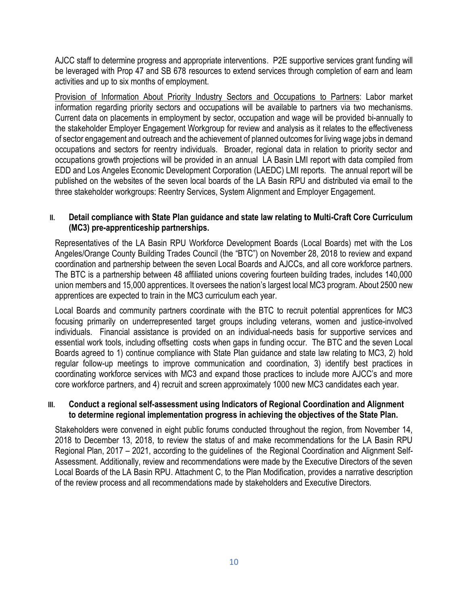AJCC staff to determine progress and appropriate interventions. P2E supportive services grant funding will be leveraged with Prop 47 and SB 678 resources to extend services through completion of earn and learn activities and up to six months of employment.

Provision of Information About Priority Industry Sectors and Occupations to Partners: Labor market information regarding priority sectors and occupations will be available to partners via two mechanisms. Current data on placements in employment by sector, occupation and wage will be provided bi-annually to the stakeholder Employer Engagement Workgroup for review and analysis as it relates to the effectiveness of sector engagement and outreach and the achievement of planned outcomes for living wage jobs in demand occupations and sectors for reentry individuals. Broader, regional data in relation to priority sector and occupations growth projections will be provided in an annual LA Basin LMI report with data compiled from EDD and Los Angeles Economic Development Corporation (LAEDC) LMI reports. The annual report will be published on the websites of the seven local boards of the LA Basin RPU and distributed via email to the three stakeholder workgroups: Reentry Services, System Alignment and Employer Engagement.

### **II. Detail compliance with State Plan guidance and state law relating to Multi-Craft Core Curriculum (MC3) pre-apprenticeship partnerships.**

Representatives of the LA Basin RPU Workforce Development Boards (Local Boards) met with the Los Angeles/Orange County Building Trades Council (the "BTC") on November 28, 2018 to review and expand coordination and partnership between the seven Local Boards and AJCCs, and all core workforce partners. The BTC is a partnership between 48 affiliated unions covering fourteen building trades, includes 140,000 union members and 15,000 apprentices. It oversees the nation's largest local MC3 program. About 2500 new apprentices are expected to train in the MC3 curriculum each year.

Local Boards and community partners coordinate with the BTC to recruit potential apprentices for MC3 focusing primarily on underrepresented target groups including veterans, women and justice-involved individuals. Financial assistance is provided on an individual-needs basis for supportive services and essential work tools, including offsetting costs when gaps in funding occur. The BTC and the seven Local Boards agreed to 1) continue compliance with State Plan guidance and state law relating to MC3, 2) hold regular follow-up meetings to improve communication and coordination, 3) identify best practices in coordinating workforce services with MC3 and expand those practices to include more AJCC's and more core workforce partners, and 4) recruit and screen approximately 1000 new MC3 candidates each year.

### **III. Conduct a regional self-assessment using Indicators of Regional Coordination and Alignment to determine regional implementation progress in achieving the objectives of the State Plan.**

Stakeholders were convened in eight public forums conducted throughout the region, from November 14, 2018 to December 13, 2018, to review the status of and make recommendations for the LA Basin RPU Regional Plan, 2017 – 2021, according to the guidelines of the Regional Coordination and Alignment Self-Assessment. Additionally, review and recommendations were made by the Executive Directors of the seven Local Boards of the LA Basin RPU. Attachment C, to the Plan Modification, provides a narrative description of the review process and all recommendations made by stakeholders and Executive Directors.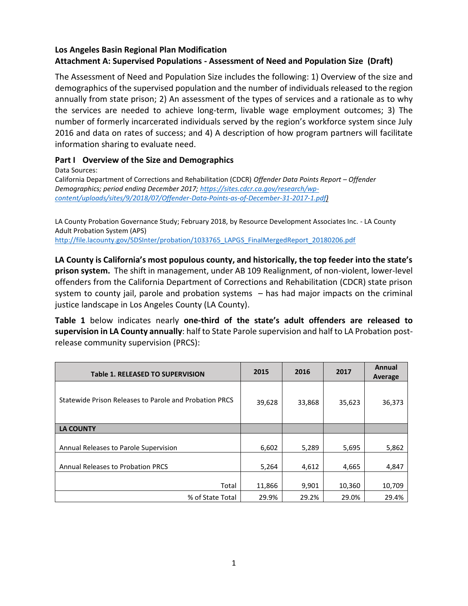## **Los Angeles Basin Regional Plan Modification Attachment A: Supervised Populations - Assessment of Need and Population Size (Draft)**

The Assessment of Need and Population Size includes the following: 1) Overview of the size and demographics of the supervised population and the number of individuals released to the region annually from state prison; 2) An assessment of the types of services and a rationale as to why the services are needed to achieve long-term, livable wage employment outcomes; 3) The number of formerly incarcerated individuals served by the region's workforce system since July 2016 and data on rates of success; and 4) A description of how program partners will facilitate information sharing to evaluate need.

### **Part I Overview of the Size and Demographics**

Data Sources:

California Department of Corrections and Rehabilitation (CDCR) *Offender Data Points Report – Offender Demographics; period ending December 2017; [https://sites.cdcr.ca.gov/research/wp](https://sites.cdcr.ca.gov/research/wp-content/uploads/sites/9/2018/07/Offender-Data-Points-as-of-December-31-2017-1.pdf)[content/uploads/sites/9/2018/07/Offender-Data-Points-as-of-December-31-2017-1.pdf\)](https://sites.cdcr.ca.gov/research/wp-content/uploads/sites/9/2018/07/Offender-Data-Points-as-of-December-31-2017-1.pdf)*

LA County Probation Governance Study; February 2018, by Resource Development Associates Inc. - LA County Adult Probation System (APS) [http://file.lacounty.gov/SDSInter/probation/1033765\\_LAPGS\\_FinalMergedReport\\_20180206.pdf](http://file.lacounty.gov/SDSInter/probation/1033765_LAPGS_FinalMergedReport_20180206.pdf)

**LA County is California's most populous county, and historically, the top feeder into the state's prison system.** The shift in management, under AB 109 Realignment, of non-violent, lower-level offenders from the California Department of Corrections and Rehabilitation (CDCR) state prison system to county jail, parole and probation systems – has had major impacts on the criminal justice landscape in Los Angeles County (LA County).

**Table 1** below indicates nearly **one-third of the state's adult offenders are released to supervision in LA County annually**: half to State Parole supervision and half to LA Probation postrelease community supervision (PRCS):

| <b>Table 1. RELEASED TO SUPERVISION</b>                | 2015   | 2016   | 2017   | Annual<br>Average |
|--------------------------------------------------------|--------|--------|--------|-------------------|
| Statewide Prison Releases to Parole and Probation PRCS | 39,628 | 33,868 | 35,623 | 36,373            |
| <b>LA COUNTY</b>                                       |        |        |        |                   |
| Annual Releases to Parole Supervision                  | 6,602  | 5,289  | 5,695  | 5,862             |
| <b>Annual Releases to Probation PRCS</b>               | 5,264  | 4,612  | 4,665  | 4,847             |
| Total                                                  | 11,866 | 9,901  | 10,360 | 10,709            |
| % of State Total                                       | 29.9%  | 29.2%  | 29.0%  | 29.4%             |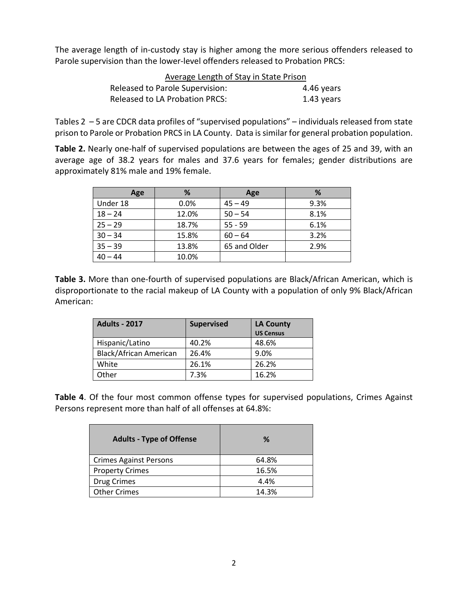The average length of in-custody stay is higher among the more serious offenders released to Parole supervision than the lower-level offenders released to Probation PRCS:

| Average Length of Stay in State Prison |            |
|----------------------------------------|------------|
| Released to Parole Supervision:        | 4.46 years |
| <b>Released to LA Probation PRCS:</b>  | 1.43 years |

Tables 2 – 5 are CDCR data profiles of "supervised populations" – individuals released from state prison to Parole or Probation PRCS in LA County. Data is similar for general probation population.

**Table 2.** Nearly one-half of supervised populations are between the ages of 25 and 39, with an average age of 38.2 years for males and 37.6 years for females; gender distributions are approximately 81% male and 19% female.

| Age       | %     | Age          | %    |
|-----------|-------|--------------|------|
| Under 18  | 0.0%  | $45 - 49$    | 9.3% |
| $18 - 24$ | 12.0% | $50 - 54$    | 8.1% |
| $25 - 29$ | 18.7% | $55 - 59$    | 6.1% |
| $30 - 34$ | 15.8% | $60 - 64$    | 3.2% |
| $35 - 39$ | 13.8% | 65 and Older | 2.9% |
| $40 - 44$ | 10.0% |              |      |

**Table 3.** More than one-fourth of supervised populations are Black/African American, which is disproportionate to the racial makeup of LA County with a population of only 9% Black/African American:

| <b>Adults - 2017</b>   | <b>Supervised</b> | <b>LA County</b> |
|------------------------|-------------------|------------------|
|                        |                   | <b>US Census</b> |
| Hispanic/Latino        | 40.2%             | 48.6%            |
| Black/African American | 26.4%             | 9.0%             |
| White                  | 26.1%             | 26.2%            |
| Other                  | 7.3%              | 16.2%            |

**Table 4**. Of the four most common offense types for supervised populations, Crimes Against Persons represent more than half of all offenses at 64.8%:

| <b>Adults - Type of Offense</b> | %     |
|---------------------------------|-------|
| <b>Crimes Against Persons</b>   | 64.8% |
| <b>Property Crimes</b>          | 16.5% |
| Drug Crimes                     | 4.4%  |
| <b>Other Crimes</b>             | 14.3% |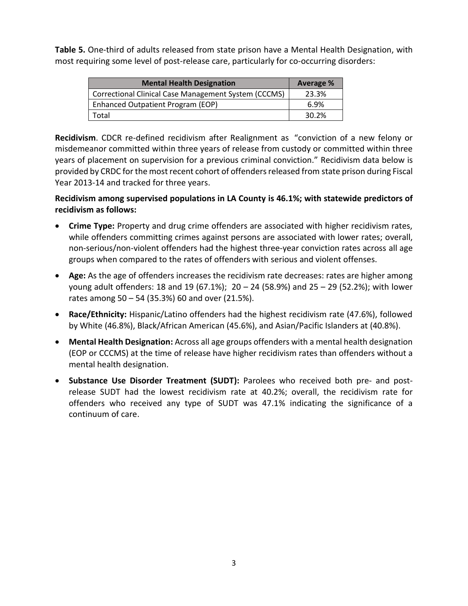**Table 5.** One-third of adults released from state prison have a Mental Health Designation, with most requiring some level of post-release care, particularly for co-occurring disorders:

| <b>Mental Health Designation</b>                     | Average % |
|------------------------------------------------------|-----------|
| Correctional Clinical Case Management System (CCCMS) | 23.3%     |
| Enhanced Outpatient Program (EOP)                    | 6.9%      |
| Total                                                | 30.2%     |

**Recidivism**. CDCR re-defined recidivism after Realignment as "conviction of a new felony or misdemeanor committed within three years of release from custody or committed within three years of placement on supervision for a previous criminal conviction." Recidivism data below is provided by CRDC for the most recent cohort of offenders released from state prison during Fiscal Year 2013-14 and tracked for three years.

**Recidivism among supervised populations in LA County is 46.1%; with statewide predictors of recidivism as follows:**

- **Crime Type:** Property and drug crime offenders are associated with higher recidivism rates, while offenders committing crimes against persons are associated with lower rates; overall, non‐serious/non‐violent offenders had the highest three‐year conviction rates across all age groups when compared to the rates of offenders with serious and violent offenses.
- **Age:** As the age of offenders increases the recidivism rate decreases: rates are higher among young adult offenders: 18 and 19 (67.1%); 20 – 24 (58.9%) and 25 – 29 (52.2%); with lower rates among 50 – 54 (35.3%) 60 and over (21.5%).
- **Race/Ethnicity:** Hispanic/Latino offenders had the highest recidivism rate (47.6%), followed by White (46.8%), Black/African American (45.6%), and Asian/Pacific Islanders at (40.8%).
- **Mental Health Designation:** Across all age groups offenders with a mental health designation (EOP or CCCMS) at the time of release have higher recidivism rates than offenders without a mental health designation.
- **Substance Use Disorder Treatment (SUDT):** Parolees who received both pre- and postrelease SUDT had the lowest recidivism rate at 40.2%; overall, the recidivism rate for offenders who received any type of SUDT was 47.1% indicating the significance of a continuum of care.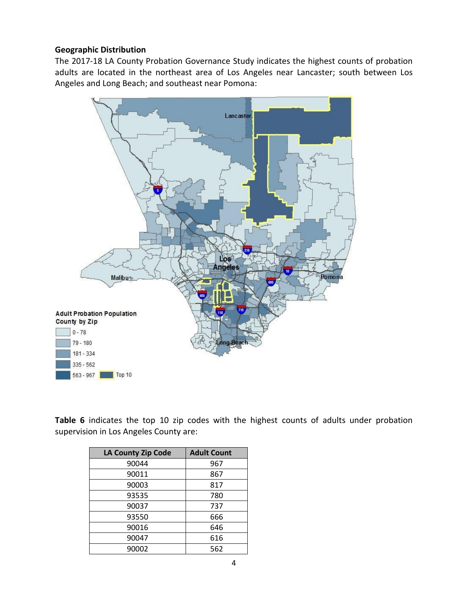#### **Geographic Distribution**

The 2017-18 LA County Probation Governance Study indicates the highest counts of probation adults are located in the northeast area of Los Angeles near Lancaster; south between Los Angeles and Long Beach; and southeast near Pomona:



**Table 6** indicates the top 10 zip codes with the highest counts of adults under probation supervision in Los Angeles County are:

| <b>LA County Zip Code</b> | <b>Adult Count</b> |
|---------------------------|--------------------|
| 90044                     | 967                |
| 90011                     | 867                |
| 90003                     | 817                |
| 93535                     | 780                |
| 90037                     | 737                |
| 93550                     | 666                |
| 90016                     | 646                |
| 90047                     | 616                |
| 90002                     | 562                |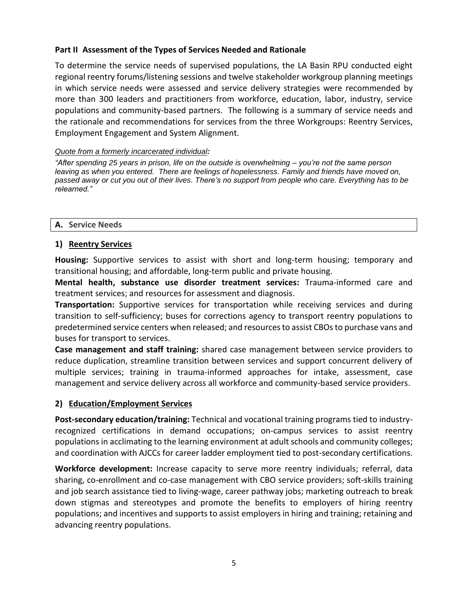### **Part II Assessment of the Types of Services Needed and Rationale**

To determine the service needs of supervised populations, the LA Basin RPU conducted eight regional reentry forums/listening sessions and twelve stakeholder workgroup planning meetings in which service needs were assessed and service delivery strategies were recommended by more than 300 leaders and practitioners from workforce, education, labor, industry, service populations and community-based partners. The following is a summary of service needs and the rationale and recommendations for services from the three Workgroups: Reentry Services, Employment Engagement and System Alignment.

#### *Quote from a formerly incarcerated individual:*

*"After spending 25 years in prison, life on the outside is overwhelming – you're not the same person*  leaving as when you entered. There are feelings of hopelessness. Family and friends have moved on, *passed away or cut you out of their lives. There's no support from people who care. Everything has to be relearned."*

#### **A. Service Needs**

## **1) Reentry Services**

**Housing:** Supportive services to assist with short and long-term housing; temporary and transitional housing; and affordable, long-term public and private housing.

**Mental health, substance use disorder treatment services:** Trauma-informed care and treatment services; and resources for assessment and diagnosis.

**Transportation:** Supportive services for transportation while receiving services and during transition to self-sufficiency; buses for corrections agency to transport reentry populations to predetermined service centers when released; and resources to assist CBOs to purchase vans and buses for transport to services.

**Case management and staff training:** shared case management between service providers to reduce duplication, streamline transition between services and support concurrent delivery of multiple services; training in trauma-informed approaches for intake, assessment, case management and service delivery across all workforce and community-based service providers.

#### **2) Education/Employment Services**

**Post-secondary education/training:** Technical and vocational training programs tied to industryrecognized certifications in demand occupations; on-campus services to assist reentry populations in acclimating to the learning environment at adult schools and community colleges; and coordination with AJCCs for career ladder employment tied to post-secondary certifications.

**Workforce development:** Increase capacity to serve more reentry individuals; referral, data sharing, co-enrollment and co-case management with CBO service providers; soft-skills training and job search assistance tied to living-wage, career pathway jobs; marketing outreach to break down stigmas and stereotypes and promote the benefits to employers of hiring reentry populations; and incentives and supports to assist employers in hiring and training; retaining and advancing reentry populations.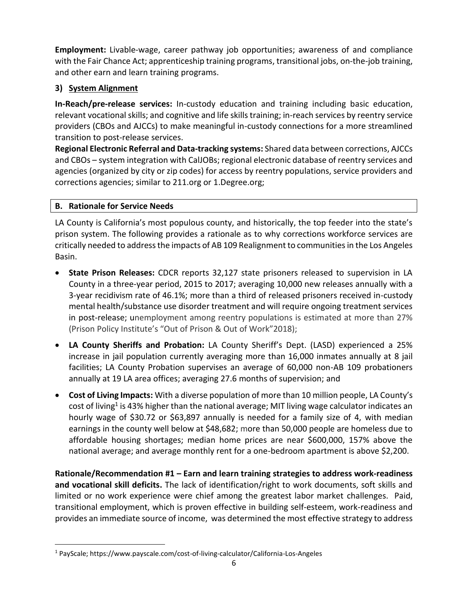**Employment:** Livable-wage, career pathway job opportunities; awareness of and compliance with the Fair Chance Act; apprenticeship training programs, transitional jobs, on-the-job training, and other earn and learn training programs.

# **3) System Alignment**

**In-Reach/pre-release services:** In-custody education and training including basic education, relevant vocational skills; and cognitive and life skills training; in-reach services by reentry service providers (CBOs and AJCCs) to make meaningful in-custody connections for a more streamlined transition to post-release services.

**Regional Electronic Referral and Data-tracking systems:** Shared data between corrections, AJCCs and CBOs – system integration with CalJOBs; regional electronic database of reentry services and agencies (organized by city or zip codes) for access by reentry populations, service providers and corrections agencies; similar to 211.org or 1.Degree.org;

## **B. Rationale for Service Needs**

l

LA County is California's most populous county, and historically, the top feeder into the state's prison system. The following provides a rationale as to why corrections workforce services are critically needed to address the impacts of AB 109 Realignment to communities in the Los Angeles Basin.

- **State Prison Releases:** CDCR reports 32,127 state prisoners released to supervision in LA County in a three-year period, 2015 to 2017; averaging 10,000 new releases annually with a 3-year recidivism rate of 46.1%; more than a third of released prisoners received in-custody mental health/substance use disorder treatment and will require ongoing treatment services in post-release; unemployment among reentry populations is estimated at more than 27% (Prison Policy Institute's "Out of Prison & Out of Work"2018);
- **LA County Sheriffs and Probation:** LA County Sheriff's Dept. (LASD) experienced a 25% increase in jail population currently averaging more than 16,000 inmates annually at 8 jail facilities; LA County Probation supervises an average of 60,000 non-AB 109 probationers annually at 19 LA area offices; averaging 27.6 months of supervision; and
- **Cost of Living Impacts:** With a diverse population of more than 10 million people, LA County's cost of living<sup>1</sup> is 43% higher than the national average; MIT living wage calculator indicates an hourly wage of \$30.72 or \$63,897 annually is needed for a family size of 4, with median earnings in the county well below at \$48,682; more than 50,000 people are homeless due to affordable housing shortages; median home prices are near \$600,000, 157% above the national average; and average monthly rent for a one-bedroom apartment is above \$2,200.

**Rationale/Recommendation #1 – Earn and learn training strategies to address work-readiness and vocational skill deficits.** The lack of identification/right to work documents, soft skills and limited or no work experience were chief among the greatest labor market challenges. Paid, transitional employment, which is proven effective in building self-esteem, work-readiness and provides an immediate source of income, was determined the most effective strategy to address

<sup>1</sup> PayScale; https://www.payscale.com/cost-of-living-calculator/California-Los-Angeles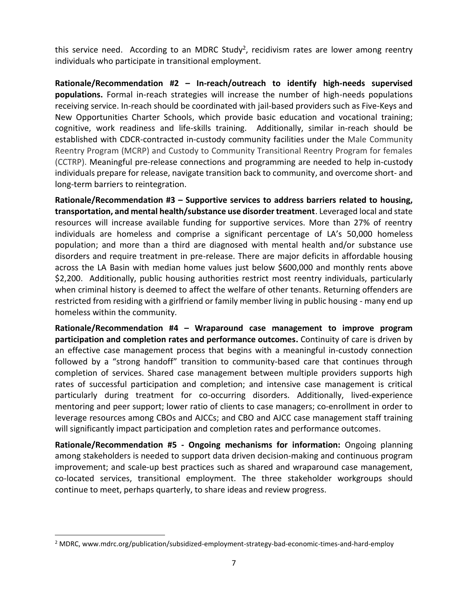this service need. According to an MDRC Study<sup>2</sup>, recidivism rates are lower among reentry individuals who participate in transitional employment.

**Rationale/Recommendation #2 – In-reach/outreach to identify high-needs supervised populations.** Formal in-reach strategies will increase the number of high-needs populations receiving service. In-reach should be coordinated with jail-based providers such as Five-Keys and New Opportunities Charter Schools, which provide basic education and vocational training; cognitive, work readiness and life-skills training. Additionally, similar in-reach should be established with CDCR-contracted in-custody community facilities under the Male Community Reentry Program (MCRP) and Custody to Community Transitional Reentry Program for females (CCTRP). Meaningful pre-release connections and programming are needed to help in-custody individuals prepare for release, navigate transition back to community, and overcome short- and long-term barriers to reintegration.

**Rationale/Recommendation #3 – Supportive services to address barriers related to housing, transportation, and mental health/substance use disorder treatment**. Leveraged local and state resources will increase available funding for supportive services. More than 27% of reentry individuals are homeless and comprise a significant percentage of LA's 50,000 homeless population; and more than a third are diagnosed with mental health and/or substance use disorders and require treatment in pre-release. There are major deficits in affordable housing across the LA Basin with median home values just below \$600,000 and monthly rents above \$2,200. Additionally, public housing authorities restrict most reentry individuals, particularly when criminal history is deemed to affect the welfare of other tenants. Returning offenders are restricted from residing with a girlfriend or family member living in public housing - many end up homeless within the community*.* 

**Rationale/Recommendation #4 – Wraparound case management to improve program participation and completion rates and performance outcomes.** Continuity of care is driven by an effective case management process that begins with a meaningful in-custody connection followed by a "strong handoff" transition to community-based care that continues through completion of services. Shared case management between multiple providers supports high rates of successful participation and completion; and intensive case management is critical particularly during treatment for co-occurring disorders. Additionally, lived-experience mentoring and peer support; lower ratio of clients to case managers; co-enrollment in order to leverage resources among CBOs and AJCCs; and CBO and AJCC case management staff training will significantly impact participation and completion rates and performance outcomes.

**Rationale/Recommendation #5 - Ongoing mechanisms for information:** Ongoing planning among stakeholders is needed to support data driven decision-making and continuous program improvement; and scale-up best practices such as shared and wraparound case management, co-located services, transitional employment. The three stakeholder workgroups should continue to meet, perhaps quarterly, to share ideas and review progress.

 $\overline{\phantom{a}}$ 

 $<sup>2</sup>$  MDRC, www.mdrc.org/publication/subsidized-employment-strategy-bad-economic-times-and-hard-employ</sup>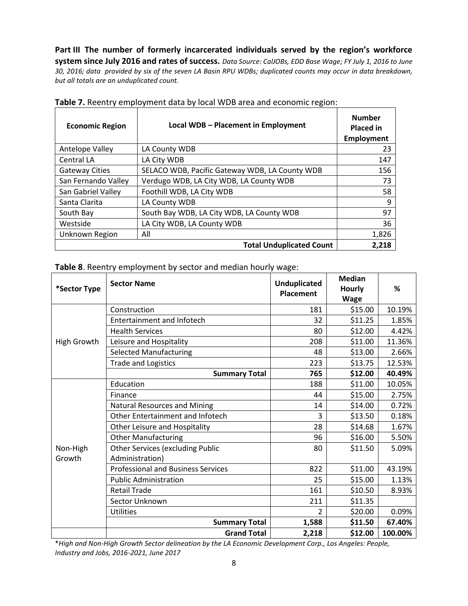**Part III The number of formerly incarcerated individuals served by the region's workforce system since July 2016 and rates of success.** *Data Source: CalJOBs, EDD Base Wage; FY July 1, 2016 to June 30, 2016; data provided by six of the seven LA Basin RPU WDBs; duplicated counts may occur in data breakdown, but all totals are an unduplicated count.*

| <b>Economic Region</b> | Local WDB - Placement in Employment            | <b>Number</b><br><b>Placed in</b><br><b>Employment</b> |
|------------------------|------------------------------------------------|--------------------------------------------------------|
| Antelope Valley        | LA County WDB                                  | 23                                                     |
| Central LA             | LA City WDB                                    | 147                                                    |
| <b>Gateway Cities</b>  | SELACO WDB, Pacific Gateway WDB, LA County WDB | 156                                                    |
| San Fernando Valley    | Verdugo WDB, LA City WDB, LA County WDB        | 73                                                     |
| San Gabriel Valley     | Foothill WDB, LA City WDB                      | 58                                                     |
| Santa Clarita          | LA County WDB                                  | 9                                                      |
| South Bay              | South Bay WDB, LA City WDB, LA County WDB      | 97                                                     |
| Westside               | LA City WDB, LA County WDB                     | 36                                                     |
| Unknown Region         | All                                            | 1,826                                                  |
|                        | <b>Total Unduplicated Count</b>                | 2.218                                                  |

|  |  | Table 7. Reentry employment data by local WDB area and economic region: |  |  |  |  |  |  |
|--|--|-------------------------------------------------------------------------|--|--|--|--|--|--|
|--|--|-------------------------------------------------------------------------|--|--|--|--|--|--|

**Table 8**. Reentry employment by sector and median hourly wage:

| *Sector Type       | <b>Sector Name</b>                                         | <b>Unduplicated</b><br><b>Placement</b>                                                                                                                                                                                                                                                                                         | <b>Median</b><br><b>Hourly</b><br><b>Wage</b> | %       |
|--------------------|------------------------------------------------------------|---------------------------------------------------------------------------------------------------------------------------------------------------------------------------------------------------------------------------------------------------------------------------------------------------------------------------------|-----------------------------------------------|---------|
|                    | Construction                                               | 181                                                                                                                                                                                                                                                                                                                             | \$15.00                                       | 10.19%  |
|                    | <b>Entertainment and Infotech</b>                          | 32                                                                                                                                                                                                                                                                                                                              | \$11.25                                       | 1.85%   |
|                    | <b>Health Services</b>                                     | 80                                                                                                                                                                                                                                                                                                                              | \$12.00                                       | 4.42%   |
| High Growth        | Leisure and Hospitality                                    | 208                                                                                                                                                                                                                                                                                                                             | \$11.00                                       | 11.36%  |
|                    | <b>Selected Manufacturing</b>                              | 48                                                                                                                                                                                                                                                                                                                              | \$13.00                                       | 2.66%   |
|                    | <b>Trade and Logistics</b>                                 | 223                                                                                                                                                                                                                                                                                                                             | \$13.75                                       | 12.53%  |
|                    | <b>Summary Total</b>                                       | \$12.00<br>765<br>\$11.00<br>188<br>\$15.00<br>44<br>\$14.00<br>14<br>\$13.50<br>3<br>28<br>\$14.68<br>96<br>\$16.00<br>\$11.50<br>80<br>\$11.00<br>822<br>\$15.00<br>25<br>\$10.50<br>161<br>\$11.35<br>211<br>\$20.00<br>$\overline{2}$<br>\$11.50<br><b>Summary Total</b><br>1,588<br><b>Grand Total</b><br>\$12.00<br>2,218 | 40.49%                                        |         |
|                    | Education                                                  |                                                                                                                                                                                                                                                                                                                                 |                                               | 10.05%  |
|                    | Finance                                                    |                                                                                                                                                                                                                                                                                                                                 |                                               | 2.75%   |
|                    | <b>Natural Resources and Mining</b>                        |                                                                                                                                                                                                                                                                                                                                 |                                               | 0.72%   |
|                    | Other Entertainment and Infotech                           |                                                                                                                                                                                                                                                                                                                                 |                                               | 0.18%   |
|                    | Other Leisure and Hospitality                              |                                                                                                                                                                                                                                                                                                                                 |                                               | 1.67%   |
|                    | <b>Other Manufacturing</b>                                 |                                                                                                                                                                                                                                                                                                                                 |                                               | 5.50%   |
| Non-High<br>Growth | <b>Other Services (excluding Public</b><br>Administration) |                                                                                                                                                                                                                                                                                                                                 |                                               | 5.09%   |
|                    | <b>Professional and Business Services</b>                  |                                                                                                                                                                                                                                                                                                                                 |                                               | 43.19%  |
|                    | <b>Public Administration</b>                               |                                                                                                                                                                                                                                                                                                                                 |                                               | 1.13%   |
|                    | <b>Retail Trade</b>                                        |                                                                                                                                                                                                                                                                                                                                 |                                               | 8.93%   |
|                    | Sector Unknown                                             |                                                                                                                                                                                                                                                                                                                                 |                                               |         |
|                    | <b>Utilities</b>                                           |                                                                                                                                                                                                                                                                                                                                 |                                               | 0.09%   |
|                    |                                                            |                                                                                                                                                                                                                                                                                                                                 |                                               | 67.40%  |
|                    |                                                            |                                                                                                                                                                                                                                                                                                                                 |                                               | 100.00% |

\**High and Non-High Growth Sector delineation by the LA Economic Development Corp., Los Angeles: People, Industry and Jobs, 2016-2021, June 2017*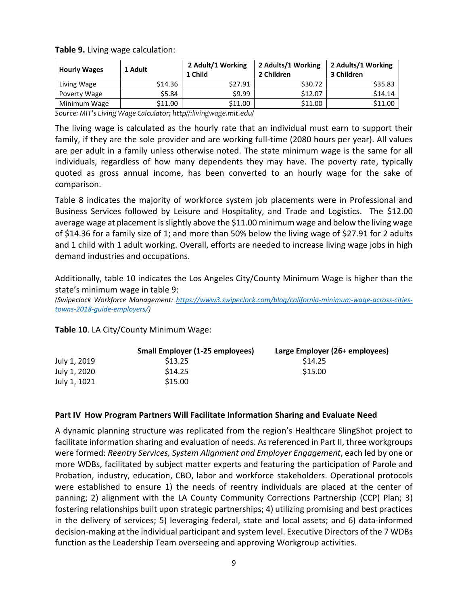| <b>Hourly Wages</b> | 1 Adult | 2 Adult/1 Working<br>1 Child | 2 Adults/1 Working<br>2 Children | 2 Adults/1 Working<br>3 Children |
|---------------------|---------|------------------------------|----------------------------------|----------------------------------|
| Living Wage         | \$14.36 | \$27.91                      | \$30.72                          | \$35.83                          |
| Poverty Wage        | \$5.84  | \$9.99                       | \$12.07                          | \$14.14                          |
| Minimum Wage        | \$11.00 | \$11.00                      | \$11.00                          | \$11.00                          |

**Table 9.** Living wage calculation:

*Source: MIT's Living Wage Calculator; http//:livingwage.mit.edu/*

The living wage is calculated as the hourly rate that an individual must earn to support their family, if they are the sole provider and are working full-time (2080 hours per year). All values are per adult in a family unless otherwise noted. The state minimum wage is the same for all individuals, regardless of how many dependents they may have. The poverty rate, typically quoted as gross annual income, has been converted to an hourly wage for the sake of comparison.

Table 8 indicates the majority of workforce system job placements were in Professional and Business Services followed by Leisure and Hospitality, and Trade and Logistics. The \$12.00 average wage at placement is slightly above the \$11.00 minimum wage and below the living wage of \$14.36 for a family size of 1; and more than 50% below the living wage of \$27.91 for 2 adults and 1 child with 1 adult working. Overall, efforts are needed to increase living wage jobs in high demand industries and occupations.

Additionally, table 10 indicates the Los Angeles City/County Minimum Wage is higher than the state's minimum wage in table 9:

*(Swipeclock Workforce Management: [https://www3.swipeclock.com/blog/california-minimum-wage-across-cities](https://www3.swipeclock.com/blog/california-minimum-wage-across-cities-towns-2018-guide-employers/)[towns-2018-guide-employers/\)](https://www3.swipeclock.com/blog/california-minimum-wage-across-cities-towns-2018-guide-employers/)*

**Table 10**. LA City/County Minimum Wage:

|              | Small Employer (1-25 employees) | Large Employer (26+ employees) |
|--------------|---------------------------------|--------------------------------|
| July 1, 2019 | \$13.25                         | \$14.25                        |
| July 1, 2020 | \$14.25                         | \$15.00                        |
| July 1, 1021 | \$15.00                         |                                |

#### **Part IV How Program Partners Will Facilitate Information Sharing and Evaluate Need**

A dynamic planning structure was replicated from the region's Healthcare SlingShot project to facilitate information sharing and evaluation of needs. As referenced in Part II, three workgroups were formed: *Reentry Services, System Alignment and Employer Engagement*, each led by one or more WDBs, facilitated by subject matter experts and featuring the participation of Parole and Probation, industry, education, CBO, labor and workforce stakeholders. Operational protocols were established to ensure 1) the needs of reentry individuals are placed at the center of panning; 2) alignment with the LA County Community Corrections Partnership (CCP) Plan; 3) fostering relationships built upon strategic partnerships; 4) utilizing promising and best practices in the delivery of services; 5) leveraging federal, state and local assets; and 6) data-informed decision-making at the individual participant and system level. Executive Directors of the 7 WDBs function as the Leadership Team overseeing and approving Workgroup activities.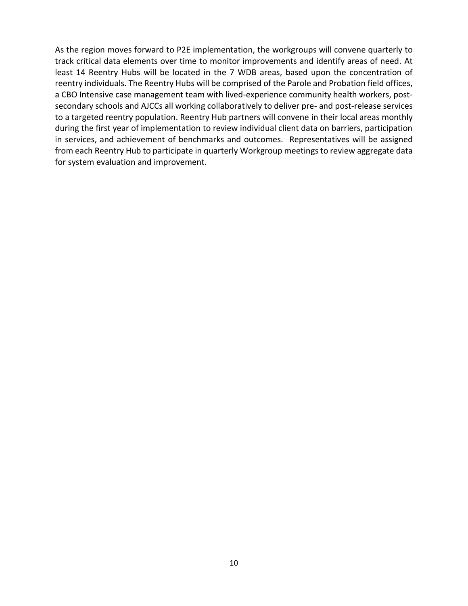As the region moves forward to P2E implementation, the workgroups will convene quarterly to track critical data elements over time to monitor improvements and identify areas of need. At least 14 Reentry Hubs will be located in the 7 WDB areas, based upon the concentration of reentry individuals. The Reentry Hubs will be comprised of the Parole and Probation field offices, a CBO Intensive case management team with lived-experience community health workers, postsecondary schools and AJCCs all working collaboratively to deliver pre- and post-release services to a targeted reentry population. Reentry Hub partners will convene in their local areas monthly during the first year of implementation to review individual client data on barriers, participation in services, and achievement of benchmarks and outcomes. Representatives will be assigned from each Reentry Hub to participate in quarterly Workgroup meetings to review aggregate data for system evaluation and improvement.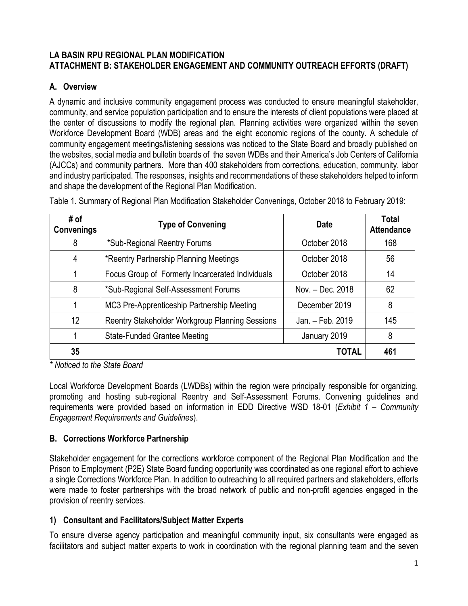## **LA BASIN RPU REGIONAL PLAN MODIFICATION ATTACHMENT B: STAKEHOLDER ENGAGEMENT AND COMMUNITY OUTREACH EFFORTS (DRAFT)**

# **A. Overview**

A dynamic and inclusive community engagement process was conducted to ensure meaningful stakeholder, community, and service population participation and to ensure the interests of client populations were placed at the center of discussions to modify the regional plan. Planning activities were organized within the seven Workforce Development Board (WDB) areas and the eight economic regions of the county. A schedule of community engagement meetings/listening sessions was noticed to the State Board and broadly published on the websites, social media and bulletin boards of the seven WDBs and their America's Job Centers of California (AJCCs) and community partners. More than 400 stakeholders from corrections, education, community, labor and industry participated. The responses, insights and recommendations of these stakeholders helped to inform and shape the development of the Regional Plan Modification.

| # of<br><b>Convenings</b> | <b>Type of Convening</b>                         | <b>Date</b>      | Total<br><b>Attendance</b> |
|---------------------------|--------------------------------------------------|------------------|----------------------------|
| 8                         | *Sub-Regional Reentry Forums                     | October 2018     | 168                        |
| 4                         | *Reentry Partnership Planning Meetings           | October 2018     | 56                         |
|                           | Focus Group of Formerly Incarcerated Individuals | October 2018     | 14                         |
| 8                         | *Sub-Regional Self-Assessment Forums             | Nov. - Dec. 2018 | 62                         |
|                           | MC3 Pre-Apprenticeship Partnership Meeting       | December 2019    | 8                          |
| 12                        | Reentry Stakeholder Workgroup Planning Sessions  | Jan. - Feb. 2019 | 145                        |
|                           | <b>State-Funded Grantee Meeting</b>              | January 2019     | 8                          |
| 35                        |                                                  | <b>TOTAL</b>     | 461                        |

Table 1. Summary of Regional Plan Modification Stakeholder Convenings, October 2018 to February 2019:

*\* Noticed to the State Board* 

Local Workforce Development Boards (LWDBs) within the region were principally responsible for organizing, promoting and hosting sub-regional Reentry and Self-Assessment Forums. Convening guidelines and requirements were provided based on information in EDD Directive WSD 18-01 (*Exhibit 1 – Community Engagement Requirements and Guidelines*).

# **B. Corrections Workforce Partnership**

Stakeholder engagement for the corrections workforce component of the Regional Plan Modification and the Prison to Employment (P2E) State Board funding opportunity was coordinated as one regional effort to achieve a single Corrections Workforce Plan. In addition to outreaching to all required partners and stakeholders, efforts were made to foster partnerships with the broad network of public and non-profit agencies engaged in the provision of reentry services.

# **1) Consultant and Facilitators/Subject Matter Experts**

To ensure diverse agency participation and meaningful community input, six consultants were engaged as facilitators and subject matter experts to work in coordination with the regional planning team and the seven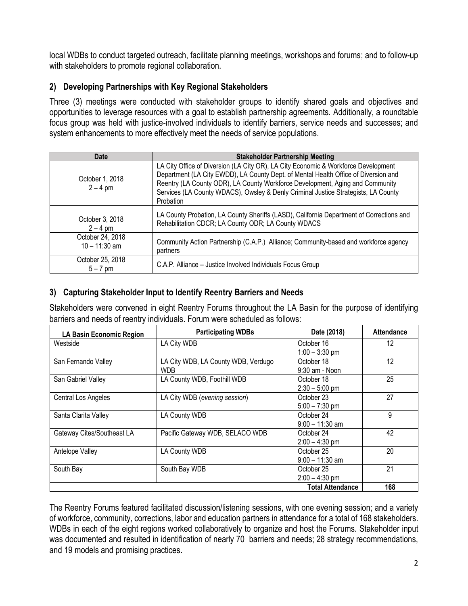local WDBs to conduct targeted outreach, facilitate planning meetings, workshops and forums; and to follow-up with stakeholders to promote regional collaboration.

# **2) Developing Partnerships with Key Regional Stakeholders**

Three (3) meetings were conducted with stakeholder groups to identify shared goals and objectives and opportunities to leverage resources with a goal to establish partnership agreements. Additionally, a roundtable focus group was held with justice-involved individuals to identify barriers, service needs and successes; and system enhancements to more effectively meet the needs of service populations.

| Date                                | <b>Stakeholder Partnership Meeting</b>                                                                                                                                                                                                                                                                                                                        |  |
|-------------------------------------|---------------------------------------------------------------------------------------------------------------------------------------------------------------------------------------------------------------------------------------------------------------------------------------------------------------------------------------------------------------|--|
| October 1, 2018<br>$2 - 4$ pm       | LA City Office of Diversion (LA City OR), LA City Economic & Workforce Development<br>Department (LA City EWDD), LA County Dept. of Mental Health Office of Diversion and<br>Reentry (LA County ODR), LA County Workforce Development, Aging and Community<br>Services (LA County WDACS), Owsley & Denly Criminal Justice Strategists, LA County<br>Probation |  |
| October 3, 2018<br>$2 - 4$ pm       | LA County Probation, LA County Sheriffs (LASD), California Department of Corrections and<br>Rehabilitation CDCR; LA County ODR; LA County WDACS                                                                                                                                                                                                               |  |
| October 24, 2018<br>$10 - 11:30$ am | Community Action Partnership (C.A.P.) Alliance; Community-based and workforce agency<br>partners                                                                                                                                                                                                                                                              |  |
| October 25, 2018<br>$5 - 7$ pm      | C.A.P. Alliance - Justice Involved Individuals Focus Group                                                                                                                                                                                                                                                                                                    |  |

# **3) Capturing Stakeholder Input to Identify Reentry Barriers and Needs**

Stakeholders were convened in eight Reentry Forums throughout the LA Basin for the purpose of identifying barriers and needs of reentry individuals. Forum were scheduled as follows:

| LA Basin Economic Region   | <b>Participating WDBs</b>                   | Date (2018)                     | <b>Attendance</b> |
|----------------------------|---------------------------------------------|---------------------------------|-------------------|
| Westside                   | LA City WDB                                 | October 16<br>$1:00 - 3:30$ pm  | 12                |
| San Fernando Valley        | LA City WDB, LA County WDB, Verdugo<br>WDB. | October 18<br>$9:30$ am - Noon  | 12                |
| San Gabriel Valley         | LA County WDB, Foothill WDB                 | October 18<br>$2:30 - 5:00$ pm  | 25                |
| Central Los Angeles        | LA City WDB (evening session)               | October 23<br>$5:00 - 7:30$ pm  | 27                |
| Santa Clarita Valley       | LA County WDB                               | October 24<br>$9:00 - 11:30$ am | 9                 |
| Gateway Cites/Southeast LA | Pacific Gateway WDB, SELACO WDB             | October 24<br>$2:00 - 4:30$ pm  | 42                |
| Antelope Valley            | LA County WDB                               | October 25<br>$9:00 - 11:30$ am | 20                |
| South Bay                  | South Bay WDB                               | October 25<br>$2:00 - 4:30$ pm  | 21                |
|                            |                                             | <b>Total Attendance</b>         | 168               |

The Reentry Forums featured facilitated discussion/listening sessions, with one evening session; and a variety of workforce, community, corrections, labor and education partners in attendance for a total of 168 stakeholders. WDBs in each of the eight regions worked collaboratively to organize and host the Forums. Stakeholder input was documented and resulted in identification of nearly 70 barriers and needs; 28 strategy recommendations, and 19 models and promising practices.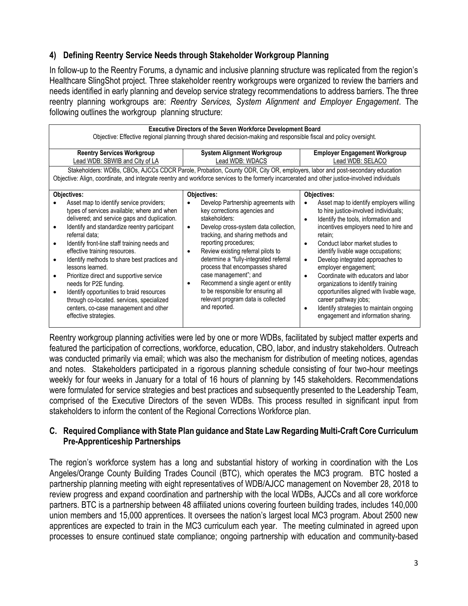## **4) Defining Reentry Service Needs through Stakeholder Workgroup Planning**

In follow-up to the Reentry Forums, a dynamic and inclusive planning structure was replicated from the region's Healthcare SlingShot project. Three stakeholder reentry workgroups were organized to review the barriers and needs identified in early planning and develop service strategy recommendations to address barriers. The three reentry planning workgroups are: *Reentry Services, System Alignment and Employer Engagement*. The following outlines the workgroup planning structure:

| <b>Executive Directors of the Seven Workforce Development Board</b><br>Objective: Effective regional planning through shared decision-making and responsible fiscal and policy oversight.                                                                                                                                                                                                                                                                                                                                                                                                        |                                                                                                                                                                                                                                                                                                                                                                                                                                                                                                           |                                                                                                                                                                                                                                                                                                                                                                                                                                                                                                                                                                                                                      |  |
|--------------------------------------------------------------------------------------------------------------------------------------------------------------------------------------------------------------------------------------------------------------------------------------------------------------------------------------------------------------------------------------------------------------------------------------------------------------------------------------------------------------------------------------------------------------------------------------------------|-----------------------------------------------------------------------------------------------------------------------------------------------------------------------------------------------------------------------------------------------------------------------------------------------------------------------------------------------------------------------------------------------------------------------------------------------------------------------------------------------------------|----------------------------------------------------------------------------------------------------------------------------------------------------------------------------------------------------------------------------------------------------------------------------------------------------------------------------------------------------------------------------------------------------------------------------------------------------------------------------------------------------------------------------------------------------------------------------------------------------------------------|--|
| <b>Reentry Services Workgroup</b>                                                                                                                                                                                                                                                                                                                                                                                                                                                                                                                                                                | <b>System Alignment Workgroup</b>                                                                                                                                                                                                                                                                                                                                                                                                                                                                         | <b>Employer Engagement Workgroup</b>                                                                                                                                                                                                                                                                                                                                                                                                                                                                                                                                                                                 |  |
| Lead WDB: SBWIB and City of LA                                                                                                                                                                                                                                                                                                                                                                                                                                                                                                                                                                   | Lead WDB: WDACS                                                                                                                                                                                                                                                                                                                                                                                                                                                                                           | Lead WDB: SELACO                                                                                                                                                                                                                                                                                                                                                                                                                                                                                                                                                                                                     |  |
| Stakeholders: WDBs, CBOs, AJCCs CDCR Parole, Probation, County ODR, City OR, employers, labor and post-secondary education<br>Objective: Align, coordinate, and integrate reentry and workforce services to the formerly incarcerated and other justice-involved individuals                                                                                                                                                                                                                                                                                                                     |                                                                                                                                                                                                                                                                                                                                                                                                                                                                                                           |                                                                                                                                                                                                                                                                                                                                                                                                                                                                                                                                                                                                                      |  |
| Objectives:                                                                                                                                                                                                                                                                                                                                                                                                                                                                                                                                                                                      | Objectives:                                                                                                                                                                                                                                                                                                                                                                                                                                                                                               | Objectives:                                                                                                                                                                                                                                                                                                                                                                                                                                                                                                                                                                                                          |  |
| Asset map to identify service providers;<br>types of services available; where and when<br>delivered; and service gaps and duplication.<br>Identify and standardize reentry participant<br>referral data:<br>Identify front-line staff training needs and<br>effective training resources.<br>Identify methods to share best practices and<br>lessons learned.<br>Prioritize direct and supportive service<br>needs for P2E funding.<br>Identify opportunities to braid resources<br>through co-located. services, specialized<br>centers, co-case management and other<br>effective strategies. | Develop Partnership agreements with<br>key corrections agencies and<br>stakeholders:<br>Develop cross-system data collection,<br>$\bullet$<br>tracking, and sharing methods and<br>reporting procedures;<br>Review existing referral pilots to<br>٠<br>determine a "fully-integrated referral<br>process that encompasses shared<br>case management"; and<br>Recommend a single agent or entity<br>$\bullet$<br>to be responsible for ensuring all<br>relevant program data is collected<br>and reported. | Asset map to identify employers willing<br>to hire justice-involved individuals;<br>Identify the tools, information and<br>$\bullet$<br>incentives employers need to hire and<br>retain;<br>Conduct labor market studies to<br>$\bullet$<br>identify livable wage occupations;<br>Develop integrated approaches to<br>$\bullet$<br>employer engagement;<br>Coordinate with educators and labor<br>$\bullet$<br>organizations to identify training<br>opportunities aligned with livable wage,<br>career pathway jobs;<br>Identify strategies to maintain ongoing<br>$\bullet$<br>engagement and information sharing. |  |

Reentry workgroup planning activities were led by one or more WDBs, facilitated by subject matter experts and featured the participation of corrections, workforce, education, CBO, labor, and industry stakeholders. Outreach was conducted primarily via email; which was also the mechanism for distribution of meeting notices, agendas and notes. Stakeholders participated in a rigorous planning schedule consisting of four two-hour meetings weekly for four weeks in January for a total of 16 hours of planning by 145 stakeholders. Recommendations were formulated for service strategies and best practices and subsequently presented to the Leadership Team, comprised of the Executive Directors of the seven WDBs. This process resulted in significant input from stakeholders to inform the content of the Regional Corrections Workforce plan.

## **C. Required Compliance with State Plan guidance and State Law Regarding Multi-Craft Core Curriculum Pre-Apprenticeship Partnerships**

The region's workforce system has a long and substantial history of working in coordination with the Los Angeles/Orange County Building Trades Council (BTC), which operates the MC3 program. BTC hosted a partnership planning meeting with eight representatives of WDB/AJCC management on November 28, 2018 to review progress and expand coordination and partnership with the local WDBs, AJCCs and all core workforce partners. BTC is a partnership between 48 affiliated unions covering fourteen building trades, includes 140,000 union members and 15,000 apprentices. It oversees the nation's largest local MC3 program. About 2500 new apprentices are expected to train in the MC3 curriculum each year. The meeting culminated in agreed upon processes to ensure continued state compliance; ongoing partnership with education and community-based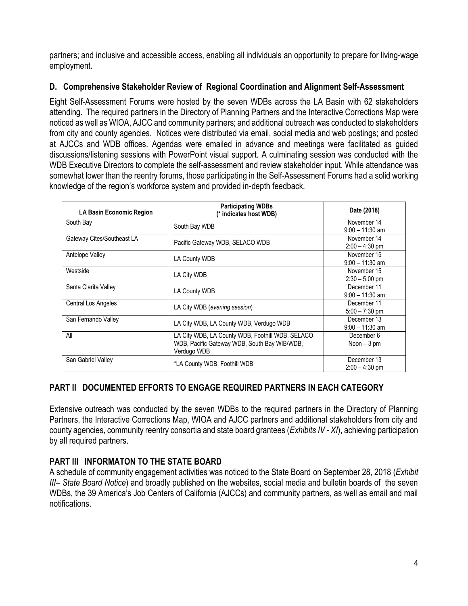partners; and inclusive and accessible access, enabling all individuals an opportunity to prepare for living-wage employment.

## **D. Comprehensive Stakeholder Review of Regional Coordination and Alignment Self-Assessment**

Eight Self-Assessment Forums were hosted by the seven WDBs across the LA Basin with 62 stakeholders attending. The required partners in the Directory of Planning Partners and the Interactive Corrections Map were noticed as well as WIOA, AJCC and community partners; and additional outreach was conducted to stakeholders from city and county agencies. Notices were distributed via email, social media and web postings; and posted at AJCCs and WDB offices. Agendas were emailed in advance and meetings were facilitated as guided discussions/listening sessions with PowerPoint visual support. A culminating session was conducted with the WDB Executive Directors to complete the self-assessment and review stakeholder input. While attendance was somewhat lower than the reentry forums, those participating in the Self-Assessment Forums had a solid working knowledge of the region's workforce system and provided in-depth feedback.

| LA Basin Economic Region   | <b>Participating WDBs</b><br>(* indicates host WDB)                                                             | Date (2018)                      |
|----------------------------|-----------------------------------------------------------------------------------------------------------------|----------------------------------|
| South Bay                  | South Bay WDB                                                                                                   | November 14<br>$9:00 - 11:30$ am |
| Gateway Cites/Southeast LA | Pacific Gateway WDB, SELACO WDB                                                                                 | November 14<br>$2:00 - 4:30$ pm  |
| Antelope Valley            | LA County WDB                                                                                                   | November 15<br>$9:00 - 11:30$ am |
| Westside                   | LA City WDB                                                                                                     | November 15<br>$2:30 - 5:00$ pm  |
| Santa Clarita Valley       | LA County WDB                                                                                                   | December 11<br>$9:00 - 11:30$ am |
| Central Los Angeles        | LA City WDB (evening session)                                                                                   | December 11<br>$5:00 - 7:30$ pm  |
| San Fernando Valley        | LA City WDB, LA County WDB, Verdugo WDB                                                                         | December 13<br>$9:00 - 11:30$ am |
| All                        | LA City WDB, LA County WDB, Foothill WDB, SELACO<br>WDB, Pacific Gateway WDB, South Bay WIB/WDB,<br>Verdugo WDB | December 6<br>Noon $-3$ pm       |
| San Gabriel Valley         | *LA County WDB, Foothill WDB                                                                                    | December 13<br>$2:00 - 4:30$ pm  |

# **PART II DOCUMENTED EFFORTS TO ENGAGE REQUIRED PARTNERS IN EACH CATEGORY**

Extensive outreach was conducted by the seven WDBs to the required partners in the Directory of Planning Partners, the Interactive Corrections Map, WIOA and AJCC partners and additional stakeholders from city and county agencies, community reentry consortia and state board grantees (*Exhibits IV - XI*), achieving participation by all required partners.

# **PART III INFORMATON TO THE STATE BOARD**

A schedule of community engagement activities was noticed to the State Board on September 28, 2018 (*Exhibit III– State Board Notice*) and broadly published on the websites, social media and bulletin boards of the seven WDBs, the 39 America's Job Centers of California (AJCCs) and community partners, as well as email and mail notifications.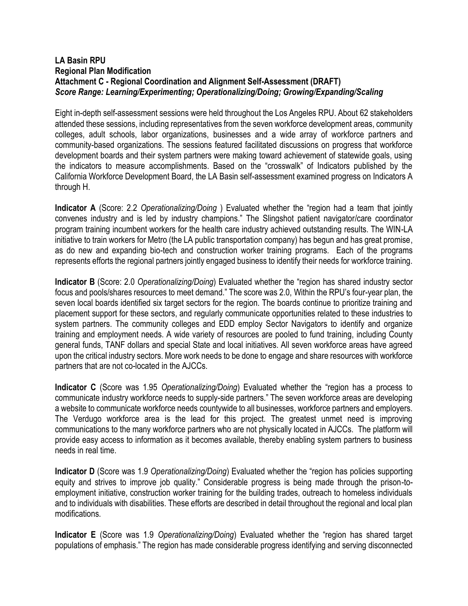### **LA Basin RPU Regional Plan Modification Attachment C - Regional Coordination and Alignment Self-Assessment (DRAFT)** *Score Range: Learning/Experimenting; Operationalizing/Doing; Growing/Expanding/Scaling*

Eight in-depth self-assessment sessions were held throughout the Los Angeles RPU. About 62 stakeholders attended these sessions, including representatives from the seven workforce development areas, community colleges, adult schools, labor organizations, businesses and a wide array of workforce partners and community-based organizations. The sessions featured facilitated discussions on progress that workforce development boards and their system partners were making toward achievement of statewide goals, using the indicators to measure accomplishments. Based on the "crosswalk" of Indicators published by the California Workforce Development Board, the LA Basin self-assessment examined progress on Indicators A through H.

**Indicator A** (Score: 2.2 *Operationalizing/Doing* ) Evaluated whether the "region had a team that jointly convenes industry and is led by industry champions." The Slingshot patient navigator/care coordinator program training incumbent workers for the health care industry achieved outstanding results. The WIN-LA initiative to train workers for Metro (the LA public transportation company) has begun and has great promise, as do new and expanding bio-tech and construction worker training programs. Each of the programs represents efforts the regional partners jointly engaged business to identify their needs for workforce training.

**Indicator B** (Score: 2.0 *Operationalizing/Doing*) Evaluated whether the "region has shared industry sector focus and pools/shares resources to meet demand." The score was 2.0, Within the RPU's four-year plan, the seven local boards identified six target sectors for the region. The boards continue to prioritize training and placement support for these sectors, and regularly communicate opportunities related to these industries to system partners. The community colleges and EDD employ Sector Navigators to identify and organize training and employment needs. A wide variety of resources are pooled to fund training, including County general funds, TANF dollars and special State and local initiatives. All seven workforce areas have agreed upon the critical industry sectors. More work needs to be done to engage and share resources with workforce partners that are not co-located in the AJCCs.

**Indicator C** (Score was 1.95 *Operationalizing/Doing*) Evaluated whether the "region has a process to communicate industry workforce needs to supply-side partners." The seven workforce areas are developing a website to communicate workforce needs countywide to all businesses, workforce partners and employers. The Verdugo workforce area is the lead for this project. The greatest unmet need is improving communications to the many workforce partners who are not physically located in AJCCs. The platform will provide easy access to information as it becomes available, thereby enabling system partners to business needs in real time.

**Indicator D** (Score was 1.9 *Operationalizing/Doing*) Evaluated whether the "region has policies supporting equity and strives to improve job quality." Considerable progress is being made through the prison-toemployment initiative, construction worker training for the building trades, outreach to homeless individuals and to individuals with disabilities. These efforts are described in detail throughout the regional and local plan modifications.

**Indicator E** (Score was 1.9 *Operationalizing/Doing*) Evaluated whether the "region has shared target populations of emphasis." The region has made considerable progress identifying and serving disconnected